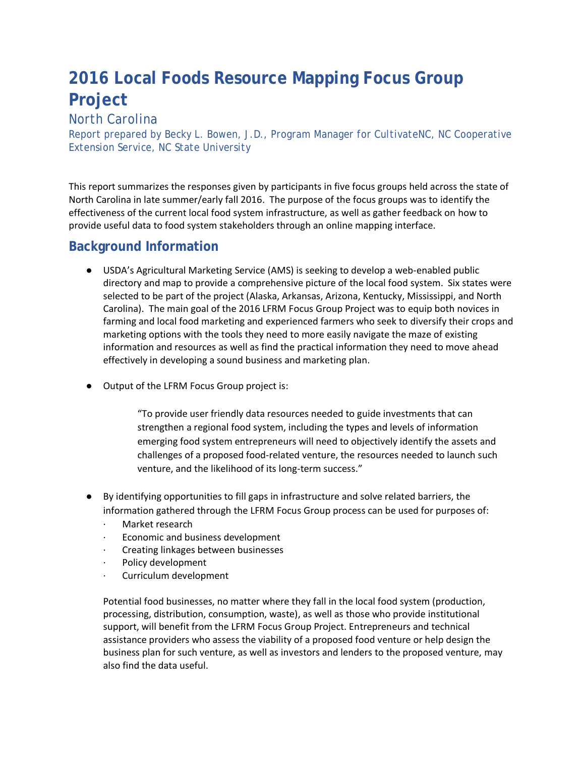# **2016 Local Foods Resource Mapping Focus Group Project**

### *North Carolina*

*Report prepared by Becky L. Bowen, J.D., Program Manager for CultivateNC, NC Cooperative Extension Service, NC State University*

This report summarizes the responses given by participants in five focus groups held across the state of North Carolina in late summer/early fall 2016. The purpose of the focus groups was to identify the effectiveness of the current local food system infrastructure, as well as gather feedback on how to provide useful data to food system stakeholders through an online mapping interface.

### **Background Information**

- USDA's Agricultural Marketing Service (AMS) is seeking to develop a web-enabled public directory and map to provide a comprehensive picture of the local food system. Six states were selected to be part of the project (Alaska, Arkansas, Arizona, Kentucky, Mississippi, and North Carolina). The main goal of the 2016 LFRM Focus Group Project was to equip both novices in farming and local food marketing and experienced farmers who seek to diversify their crops and marketing options with the tools they need to more easily navigate the maze of existing information and resources as well as find the practical information they need to move ahead effectively in developing a sound business and marketing plan.
- Output of the LFRM Focus Group project is:

"To provide user friendly data resources needed to guide investments that can strengthen a regional food system, including the types and levels of information emerging food system entrepreneurs will need to objectively identify the assets and challenges of a proposed food-related venture, the resources needed to launch such venture, and the likelihood of its long-term success."

- By identifying opportunities to fill gaps in infrastructure and solve related barriers, the information gathered through the LFRM Focus Group process can be used for purposes of:
	- Market research
	- Economic and business development
	- · Creating linkages between businesses
	- Policy development
	- · Curriculum development

Potential food businesses, no matter where they fall in the local food system (production, processing, distribution, consumption, waste), as well as those who provide institutional support, will benefit from the LFRM Focus Group Project. Entrepreneurs and technical assistance providers who assess the viability of a proposed food venture or help design the business plan for such venture, as well as investors and lenders to the proposed venture, may also find the data useful.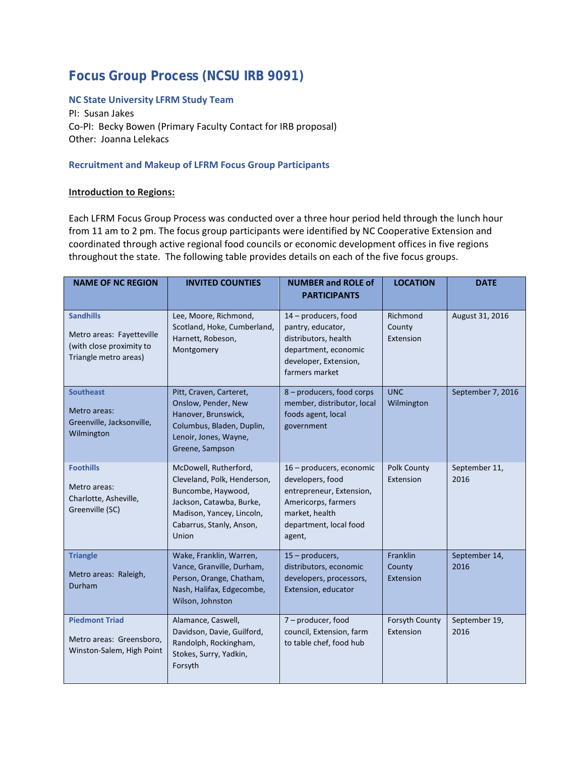## **Focus Group Process (NCSU IRB 9091)**

### **NC State University LFRM Study Team**

PI: Susan Jakes Co-PI: Becky Bowen (Primary Faculty Contact for IRB proposal) Other: Joanna Lelekacs

#### **Recruitment and Makeup of LFRM Focus Group Participants**

#### **Introduction to Regions:**

Each LFRM Focus Group Process was conducted over a three hour period held through the lunch hour from 11 am to 2 pm. The focus group participants were identified by NC Cooperative Extension and coordinated through active regional food councils or economic development offices in five regions throughout the state. The following table provides details on each of the five focus groups.

| <b>NAME OF NC REGION</b>                                                                           | <b>INVITED COUNTIES</b>                                                                                                                                                  | <b>NUMBER and ROLE of</b><br><b>PARTICIPANTS</b>                                                                                                      | <b>LOCATION</b>                        | <b>DATE</b>           |
|----------------------------------------------------------------------------------------------------|--------------------------------------------------------------------------------------------------------------------------------------------------------------------------|-------------------------------------------------------------------------------------------------------------------------------------------------------|----------------------------------------|-----------------------|
| <b>Sandhills</b><br>Metro areas: Fayetteville<br>(with close proximity to<br>Triangle metro areas) | Lee, Moore, Richmond,<br>Scotland, Hoke, Cumberland,<br>Harnett, Robeson,<br>Montgomery                                                                                  | 14 – producers, food<br>pantry, educator,<br>distributors, health<br>department, economic<br>developer, Extension,<br>farmers market                  | Richmond<br>County<br>Extension        | August 31, 2016       |
| <b>Southeast</b><br>Metro areas:<br>Greenville, Jacksonville,<br>Wilmington                        | Pitt, Craven, Carteret,<br>Onslow, Pender, New<br>Hanover, Brunswick,<br>Columbus, Bladen, Duplin,<br>Lenoir, Jones, Wayne,<br>Greene, Sampson                           | 8 - producers, food corps<br>member, distributor, local<br>foods agent, local<br>government                                                           | <b>UNC</b><br>Wilmington               | September 7, 2016     |
| <b>Foothills</b><br>Metro areas:<br>Charlotte, Asheville,<br>Greenville (SC)                       | McDowell, Rutherford,<br>Cleveland, Polk, Henderson,<br>Buncombe, Haywood,<br>Jackson, Catawba, Burke,<br>Madison, Yancey, Lincoln,<br>Cabarrus, Stanly, Anson,<br>Union | 16 - producers, economic<br>developers, food<br>entrepreneur, Extension,<br>Americorps, farmers<br>market, health<br>department, local food<br>agent, | Polk County<br>Extension               | September 11,<br>2016 |
| <b>Triangle</b><br>Metro areas: Raleigh,<br>Durham                                                 | Wake, Franklin, Warren,<br>Vance, Granville, Durham,<br>Person, Orange, Chatham,<br>Nash, Halifax, Edgecombe,<br>Wilson, Johnston                                        | 15 - producers,<br>distributors, economic<br>developers, processors,<br>Extension, educator                                                           | <b>Franklin</b><br>County<br>Extension | September 14,<br>2016 |
| <b>Piedmont Triad</b><br>Metro areas: Greensboro,<br>Winston-Salem, High Point                     | Alamance, Caswell,<br>Davidson, Davie, Guilford,<br>Randolph, Rockingham,<br>Stokes, Surry, Yadkin,<br>Forsyth                                                           | 7 - producer, food<br>council, Extension, farm<br>to table chef, food hub                                                                             | Forsyth County<br>Extension            | September 19,<br>2016 |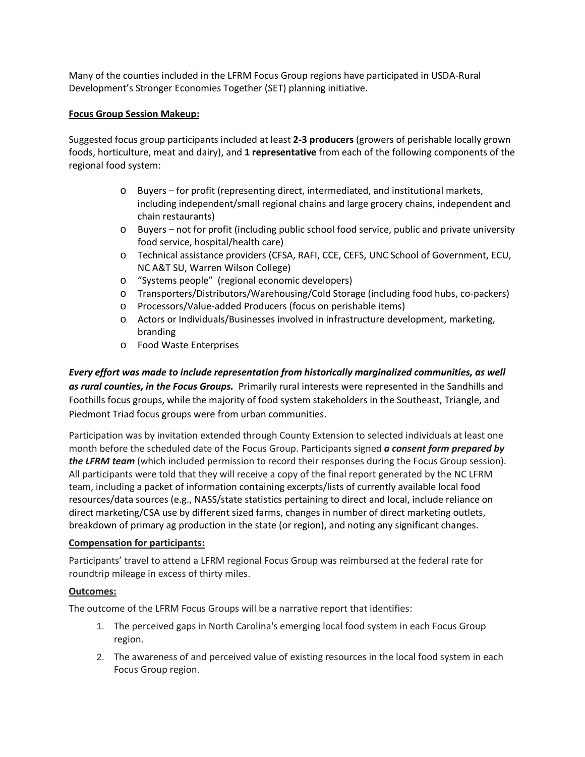Many of the counties included in the LFRM Focus Group regions have participated in USDA-Rural Development's Stronger Economies Together (SET) planning initiative.

### **Focus Group Session Makeup:**

Suggested focus group participants included at least **2-3 producers** (growers of perishable locally grown foods, horticulture, meat and dairy), and **1 representative** from each of the following components of the regional food system:

- o Buyers for profit (representing direct, intermediated, and institutional markets, including independent/small regional chains and large grocery chains, independent and chain restaurants)
- o Buyers not for profit (including public school food service, public and private university food service, hospital/health care)
- o Technical assistance providers (CFSA, RAFI, CCE, CEFS, UNC School of Government, ECU, NC A&T SU, Warren Wilson College)
- o "Systems people" (regional economic developers)
- o Transporters/Distributors/Warehousing/Cold Storage (including food hubs, co-packers)
- o Processors/Value-added Producers (focus on perishable items)
- o Actors or Individuals/Businesses involved in infrastructure development, marketing, branding
- o Food Waste Enterprises

*Every effort was made to include representation from historically marginalized communities, as well as rural counties, in the Focus Groups.* Primarily rural interests were represented in the Sandhills and Foothills focus groups, while the majority of food system stakeholders in the Southeast, Triangle, and Piedmont Triad focus groups were from urban communities.

Participation was by invitation extended through County Extension to selected individuals at least one month before the scheduled date of the Focus Group. Participants signed *a consent form prepared by the LFRM team* (which included permission to record their responses during the Focus Group session). All participants were told that they will receive a copy of the final report generated by the NC LFRM team, including a packet of information containing excerpts/lists of currently available local food resources/data sources (e.g., NASS/state statistics pertaining to direct and local, include reliance on direct marketing/CSA use by different sized farms, changes in number of direct marketing outlets, breakdown of primary ag production in the state (or region), and noting any significant changes.

### **Compensation for participants:**

Participants' travel to attend a LFRM regional Focus Group was reimbursed at the federal rate for roundtrip mileage in excess of thirty miles.

### **Outcomes:**

The outcome of the LFRM Focus Groups will be a narrative report that identifies:

- 1. The perceived gaps in North Carolina's emerging local food system in each Focus Group region.
- 2. The awareness of and perceived value of existing resources in the local food system in each Focus Group region.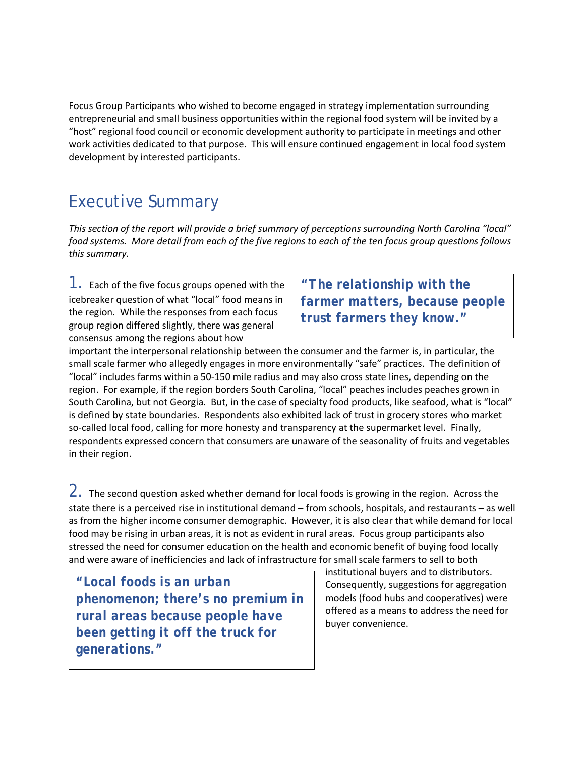Focus Group Participants who wished to become engaged in strategy implementation surrounding entrepreneurial and small business opportunities within the regional food system will be invited by a "host" regional food council or economic development authority to participate in meetings and other work activities dedicated to that purpose. This will ensure continued engagement in local food system development by interested participants.

# Executive Summary

*This section of the report will provide a brief summary of perceptions surrounding North Carolina "local" food systems. More detail from each of the five regions to each of the ten focus group questions follows this summary.*

 $1.5$  Each of the five focus groups opened with the icebreaker question of what "local" food means in the region. While the responses from each focus group region differed slightly, there was general consensus among the regions about how

*"The relationship with the farmer matters, because people trust farmers they know."*

important the interpersonal relationship between the consumer and the farmer is, in particular, the small scale farmer who allegedly engages in more environmentally "safe" practices. The definition of "local" includes farms within a 50-150 mile radius and may also cross state lines, depending on the region. For example, if the region borders South Carolina, "local" peaches includes peaches grown in South Carolina, but not Georgia. But, in the case of specialty food products, like seafood, what is "local" is defined by state boundaries. Respondents also exhibited lack of trust in grocery stores who market so-called local food, calling for more honesty and transparency at the supermarket level. Finally, respondents expressed concern that consumers are unaware of the seasonality of fruits and vegetables in their region.

 $2.$  The second question asked whether demand for local foods is growing in the region. Across the state there is a perceived rise in institutional demand – from schools, hospitals, and restaurants – as well as from the higher income consumer demographic. However, it is also clear that while demand for local food may be rising in urban areas, it is not as evident in rural areas. Focus group participants also stressed the need for consumer education on the health and economic benefit of buying food locally and were aware of inefficiencies and lack of infrastructure for small scale farmers to sell to both

*"Local foods is an urban phenomenon; there's no premium in rural areas because people have been getting it off the truck for generations."*

institutional buyers and to distributors. Consequently, suggestions for aggregation models (food hubs and cooperatives) were offered as a means to address the need for buyer convenience.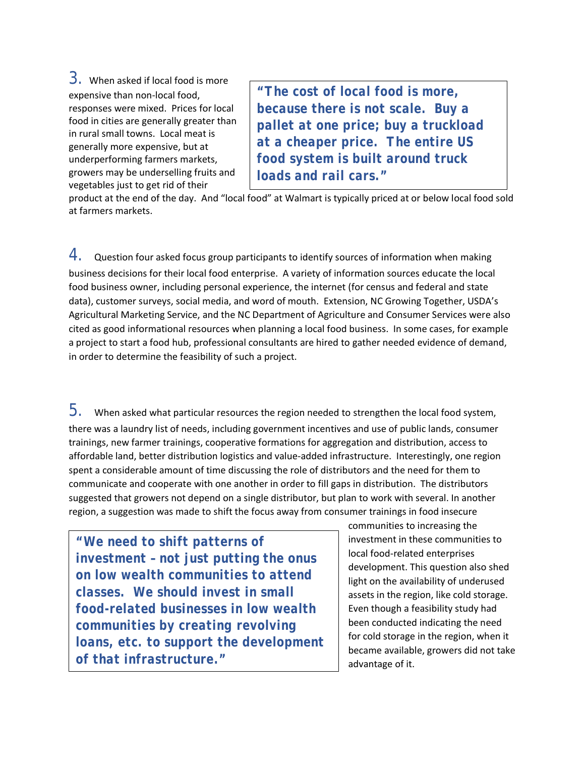3. When asked if local food is more expensive than non-local food, responses were mixed. Prices for local food in cities are generally greater than in rural small towns. Local meat is generally more expensive, but at underperforming farmers markets, growers may be underselling fruits and vegetables just to get rid of their

*"The cost of local food is more, because there is not scale. Buy a pallet at one price; buy a truckload at a cheaper price. The entire US food system is built around truck loads and rail cars."* 

product at the end of the day. And "local food" at Walmart is typically priced at or below local food sold at farmers markets.

 $4.$  Question four asked focus group participants to identify sources of information when making business decisions for their local food enterprise. A variety of information sources educate the local food business owner, including personal experience, the internet (for census and federal and state data), customer surveys, social media, and word of mouth. Extension, NC Growing Together, USDA's Agricultural Marketing Service, and the NC Department of Agriculture and Consumer Services were also cited as good informational resources when planning a local food business. In some cases, for example a project to start a food hub, professional consultants are hired to gather needed evidence of demand, in order to determine the feasibility of such a project.

 $5.$  When asked what particular resources the region needed to strengthen the local food system, there was a laundry list of needs, including government incentives and use of public lands, consumer trainings, new farmer trainings, cooperative formations for aggregation and distribution, access to affordable land, better distribution logistics and value-added infrastructure. Interestingly, one region spent a considerable amount of time discussing the role of distributors and the need for them to communicate and cooperate with one another in order to fill gaps in distribution. The distributors suggested that growers not depend on a single distributor, but plan to work with several. In another region, a suggestion was made to shift the focus away from consumer trainings in food insecure

*"We need to shift patterns of investment – not just putting the onus on low wealth communities to attend classes. We should invest in small food-related businesses in low wealth communities by creating revolving loans, etc. to support the development of that infrastructure."*

communities to increasing the investment in these communities to local food-related enterprises development. This question also shed light on the availability of underused assets in the region, like cold storage. Even though a feasibility study had been conducted indicating the need for cold storage in the region, when it became available, growers did not take advantage of it.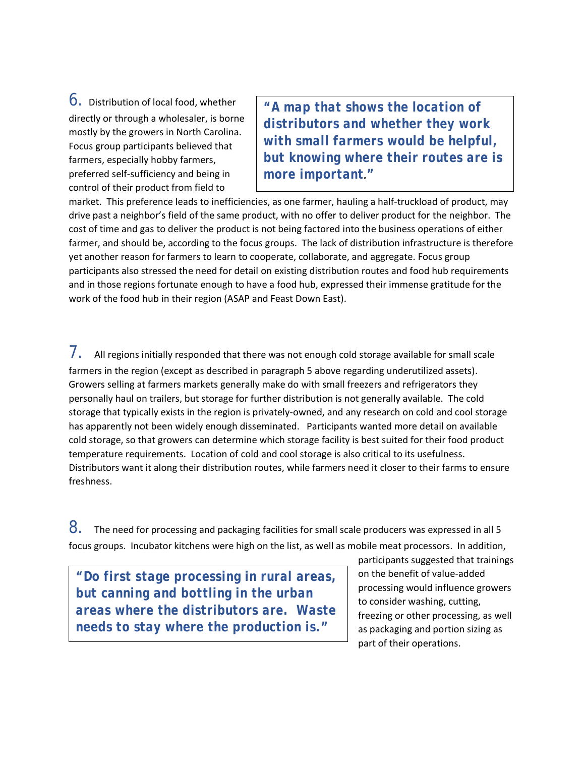6. Distribution of local food, whether directly or through a wholesaler, is borne mostly by the growers in North Carolina. Focus group participants believed that farmers, especially hobby farmers, preferred self-sufficiency and being in control of their product from field to

*"A map that shows the location of distributors and whether they work with small farmers would be helpful, but knowing where their routes are is more important."*

market. This preference leads to inefficiencies, as one farmer, hauling a half-truckload of product, may drive past a neighbor's field of the same product, with no offer to deliver product for the neighbor. The cost of time and gas to deliver the product is not being factored into the business operations of either farmer, and should be, according to the focus groups. The lack of distribution infrastructure is therefore yet another reason for farmers to learn to cooperate, collaborate, and aggregate. Focus group participants also stressed the need for detail on existing distribution routes and food hub requirements and in those regions fortunate enough to have a food hub, expressed their immense gratitude for the work of the food hub in their region (ASAP and Feast Down East).

 $7.$  All regions initially responded that there was not enough cold storage available for small scale farmers in the region (except as described in paragraph 5 above regarding underutilized assets). Growers selling at farmers markets generally make do with small freezers and refrigerators they personally haul on trailers, but storage for further distribution is not generally available. The cold storage that typically exists in the region is privately-owned, and any research on cold and cool storage has apparently not been widely enough disseminated. Participants wanted more detail on available cold storage, so that growers can determine which storage facility is best suited for their food product temperature requirements. Location of cold and cool storage is also critical to its usefulness. Distributors want it along their distribution routes, while farmers need it closer to their farms to ensure freshness.

 $8.$  The need for processing and packaging facilities for small scale producers was expressed in all 5 focus groups. Incubator kitchens were high on the list, as well as mobile meat processors. In addition,

*"Do first stage processing in rural areas, but canning and bottling in the urban areas where the distributors are. Waste needs to stay where the production is."*

participants suggested that trainings on the benefit of value-added processing would influence growers to consider washing, cutting, freezing or other processing, as well as packaging and portion sizing as part of their operations.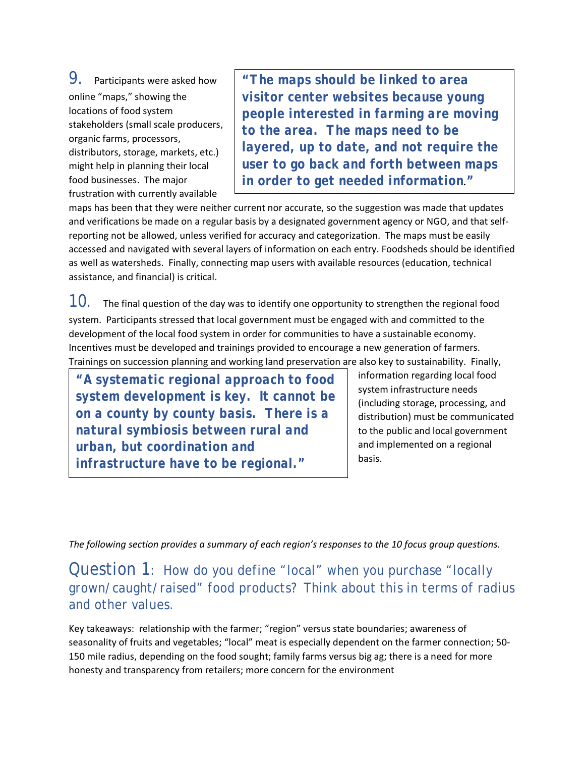9. Participants were asked how online "maps," showing the locations of food system stakeholders (small scale producers, organic farms, processors, distributors, storage, markets, etc.) might help in planning their local food businesses. The major frustration with currently available

*"The maps should be linked to area visitor center websites because young people interested in farming are moving to the area. The maps need to be layered, up to date, and not require the user to go back and forth between maps in order to get needed information."*

maps has been that they were neither current nor accurate, so the suggestion was made that updates and verifications be made on a regular basis by a designated government agency or NGO, and that selfreporting not be allowed, unless verified for accuracy and categorization. The maps must be easily accessed and navigated with several layers of information on each entry. Foodsheds should be identified as well as watersheds. Finally, connecting map users with available resources (education, technical assistance, and financial) is critical.

 $10.$  The final question of the day was to identify one opportunity to strengthen the regional food system. Participants stressed that local government must be engaged with and committed to the development of the local food system in order for communities to have a sustainable economy. Incentives must be developed and trainings provided to encourage a new generation of farmers. Trainings on succession planning and working land preservation are also key to sustainability. Finally,

*"A systematic regional approach to food system development is key. It cannot be on a county by county basis. There is a natural symbiosis between rural and urban, but coordination and infrastructure have to be regional."*

information regarding local food system infrastructure needs (including storage, processing, and distribution) must be communicated to the public and local government and implemented on a regional basis.

*The following section provides a summary of each region's responses to the 10 focus group questions.*

Question 1: *How do you define "local" when you purchase "locally grown/caught/raised" food products? Think about this in terms of radius and other values.*

Key takeaways: relationship with the farmer; "region" versus state boundaries; awareness of seasonality of fruits and vegetables; "local" meat is especially dependent on the farmer connection; 50- 150 mile radius, depending on the food sought; family farms versus big ag; there is a need for more honesty and transparency from retailers; more concern for the environment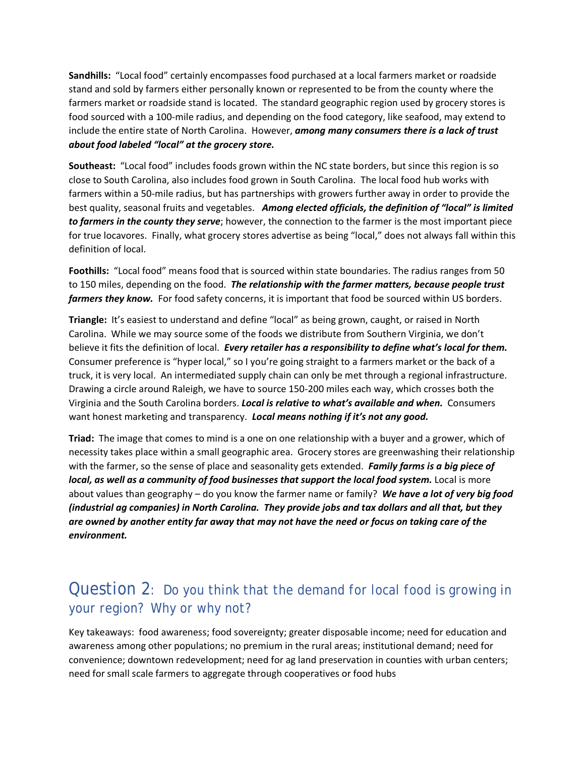**Sandhills:** "Local food" certainly encompasses food purchased at a local farmers market or roadside stand and sold by farmers either personally known or represented to be from the county where the farmers market or roadside stand is located. The standard geographic region used by grocery stores is food sourced with a 100-mile radius, and depending on the food category, like seafood, may extend to include the entire state of North Carolina. However, *among many consumers there is a lack of trust about food labeled "local" at the grocery store.*

**Southeast:** "Local food" includes foods grown within the NC state borders, but since this region is so close to South Carolina, also includes food grown in South Carolina. The local food hub works with farmers within a 50-mile radius, but has partnerships with growers further away in order to provide the best quality, seasonal fruits and vegetables. *Among elected officials, the definition of "local" is limited to farmers in the county they serve*; however, the connection to the farmer is the most important piece for true locavores. Finally, what grocery stores advertise as being "local," does not always fall within this definition of local.

**Foothills:** "Local food" means food that is sourced within state boundaries. The radius ranges from 50 to 150 miles, depending on the food. *The relationship with the farmer matters, because people trust farmers they know.* For food safety concerns, it is important that food be sourced within US borders.

**Triangle:** It's easiest to understand and define "local" as being grown, caught, or raised in North Carolina. While we may source some of the foods we distribute from Southern Virginia, we don't believe it fits the definition of local. *Every retailer has a responsibility to define what's local for them.*  Consumer preference is "hyper local," so I you're going straight to a farmers market or the back of a truck, it is very local. An intermediated supply chain can only be met through a regional infrastructure. Drawing a circle around Raleigh, we have to source 150-200 miles each way, which crosses both the Virginia and the South Carolina borders. *Local is relative to what's available and when.* Consumers want honest marketing and transparency. *Local means nothing if it's not any good.* 

**Triad:** The image that comes to mind is a one on one relationship with a buyer and a grower, which of necessity takes place within a small geographic area. Grocery stores are greenwashing their relationship with the farmer, so the sense of place and seasonality gets extended. *Family farms is a big piece of local, as well as a community of food businesses that support the local food system.* Local is more about values than geography – do you know the farmer name or family? *We have a lot of very big food (industrial ag companies) in North Carolina. They provide jobs and tax dollars and all that, but they are owned by another entity far away that may not have the need or focus on taking care of the environment.*

## Question 2: *Do you think that the demand for local food is growing in your region? Why or why not?*

Key takeaways: food awareness; food sovereignty; greater disposable income; need for education and awareness among other populations; no premium in the rural areas; institutional demand; need for convenience; downtown redevelopment; need for ag land preservation in counties with urban centers; need for small scale farmers to aggregate through cooperatives or food hubs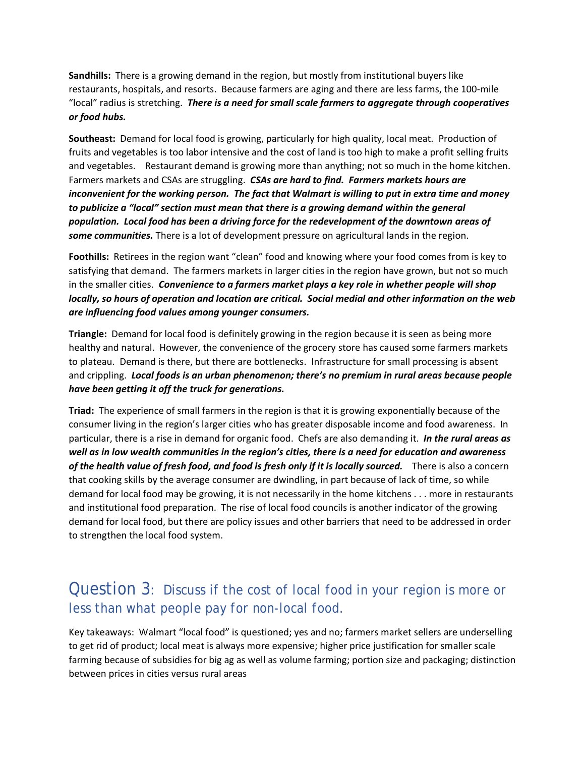**Sandhills:** There is a growing demand in the region, but mostly from institutional buyers like restaurants, hospitals, and resorts. Because farmers are aging and there are less farms, the 100-mile "local" radius is stretching. *There is a need for small scale farmers to aggregate through cooperatives or food hubs.*

**Southeast:** Demand for local food is growing, particularly for high quality, local meat. Production of fruits and vegetables is too labor intensive and the cost of land is too high to make a profit selling fruits and vegetables. Restaurant demand is growing more than anything; not so much in the home kitchen. Farmers markets and CSAs are struggling. *CSAs are hard to find. Farmers markets hours are inconvenient for the working person. The fact that Walmart is willing to put in extra time and money to publicize a "local" section must mean that there is a growing demand within the general population. Local food has been a driving force for the redevelopment of the downtown areas of some communities.* There is a lot of development pressure on agricultural lands in the region.

**Foothills:** Retirees in the region want "clean" food and knowing where your food comes from is key to satisfying that demand. The farmers markets in larger cities in the region have grown, but not so much in the smaller cities. *Convenience to a farmers market plays a key role in whether people will shop locally, so hours of operation and location are critical. Social medial and other information on the web are influencing food values among younger consumers.*

**Triangle:** Demand for local food is definitely growing in the region because it is seen as being more healthy and natural. However, the convenience of the grocery store has caused some farmers markets to plateau. Demand is there, but there are bottlenecks. Infrastructure for small processing is absent and crippling. *Local foods is an urban phenomenon; there's no premium in rural areas because people have been getting it off the truck for generations.*

**Triad:** The experience of small farmers in the region is that it is growing exponentially because of the consumer living in the region's larger cities who has greater disposable income and food awareness. In particular, there is a rise in demand for organic food. Chefs are also demanding it. *In the rural areas as well as in low wealth communities in the region's cities, there is a need for education and awareness of the health value of fresh food, and food is fresh only if it is locally sourced.* There is also a concern that cooking skills by the average consumer are dwindling, in part because of lack of time, so while demand for local food may be growing, it is not necessarily in the home kitchens . . . more in restaurants and institutional food preparation. The rise of local food councils is another indicator of the growing demand for local food, but there are policy issues and other barriers that need to be addressed in order to strengthen the local food system.

## Question 3: *Discuss if the cost of local food in your region is more or less than what people pay for non-local food.*

Key takeaways: Walmart "local food" is questioned; yes and no; farmers market sellers are underselling to get rid of product; local meat is always more expensive; higher price justification for smaller scale farming because of subsidies for big ag as well as volume farming; portion size and packaging; distinction between prices in cities versus rural areas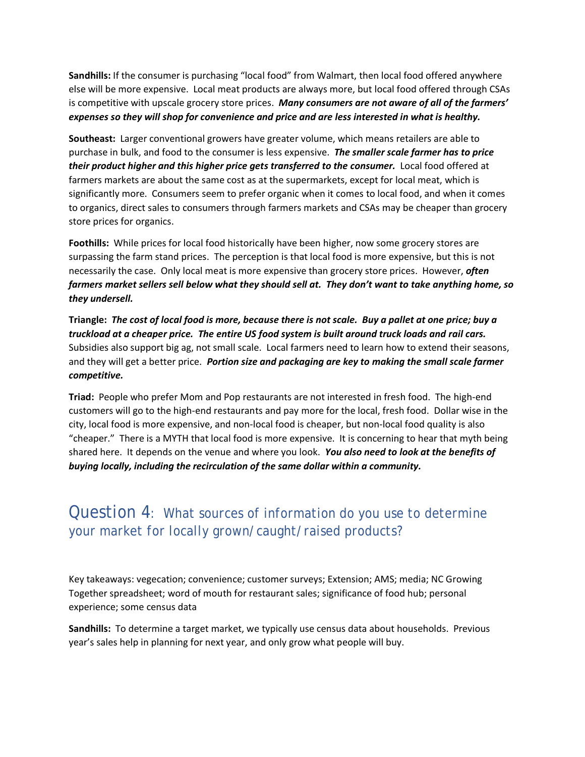**Sandhills:** If the consumer is purchasing "local food" from Walmart, then local food offered anywhere else will be more expensive. Local meat products are always more, but local food offered through CSAs is competitive with upscale grocery store prices. *Many consumers are not aware of all of the farmers' expenses so they will shop for convenience and price and are less interested in what is healthy.*

**Southeast:** Larger conventional growers have greater volume, which means retailers are able to purchase in bulk, and food to the consumer is less expensive. *The smaller scale farmer has to price their product higher and this higher price gets transferred to the consumer.* Local food offered at farmers markets are about the same cost as at the supermarkets, except for local meat, which is significantly more. Consumers seem to prefer organic when it comes to local food, and when it comes to organics, direct sales to consumers through farmers markets and CSAs may be cheaper than grocery store prices for organics.

**Foothills:** While prices for local food historically have been higher, now some grocery stores are surpassing the farm stand prices.The perception is that local food is more expensive, but this is not necessarily the case. Only local meat is more expensive than grocery store prices. However, *often farmers market sellers sell below what they should sell at. They don't want to take anything home, so they undersell.*

**Triangle:** *The cost of local food is more, because there is not scale. Buy a pallet at one price; buy a truckload at a cheaper price. The entire US food system is built around truck loads and rail cars.*  Subsidies also support big ag, not small scale. Local farmers need to learn how to extend their seasons, and they will get a better price. *Portion size and packaging are key to making the small scale farmer competitive.*

**Triad:** People who prefer Mom and Pop restaurants are not interested in fresh food. The high-end customers will go to the high-end restaurants and pay more for the local, fresh food. Dollar wise in the city, local food is more expensive, and non-local food is cheaper, but non-local food quality is also "cheaper." There is a MYTH that local food is more expensive. It is concerning to hear that myth being shared here. It depends on the venue and where you look. *You also need to look at the benefits of buying locally, including the recirculation of the same dollar within a community.*

## Question 4: *What sources of information do you use to determine your market for locally grown/caught/raised products?*

Key takeaways: vegecation; convenience; customer surveys; Extension; AMS; media; NC Growing Together spreadsheet; word of mouth for restaurant sales; significance of food hub; personal experience; some census data

**Sandhills:** To determine a target market, we typically use census data about households. Previous year's sales help in planning for next year, and only grow what people will buy.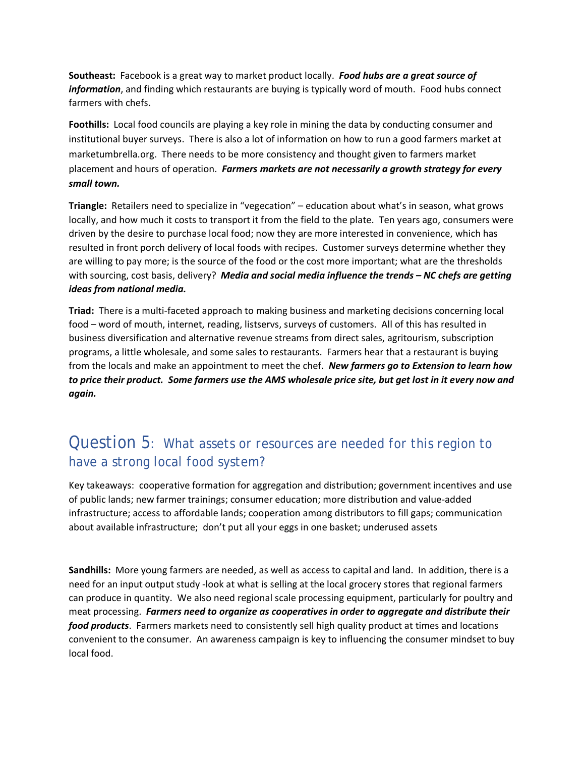**Southeast:** Facebook is a great way to market product locally. *Food hubs are a great source of information*, and finding which restaurants are buying is typically word of mouth. Food hubs connect farmers with chefs.

**Foothills:** Local food councils are playing a key role in mining the data by conducting consumer and institutional buyer surveys. There is also a lot of information on how to run a good farmers market at marketumbrella.org. There needs to be more consistency and thought given to farmers market placement and hours of operation. *Farmers markets are not necessarily a growth strategy for every small town.*

**Triangle:** Retailers need to specialize in "vegecation" – education about what's in season, what grows locally, and how much it costs to transport it from the field to the plate. Ten years ago, consumers were driven by the desire to purchase local food; now they are more interested in convenience, which has resulted in front porch delivery of local foods with recipes. Customer surveys determine whether they are willing to pay more; is the source of the food or the cost more important; what are the thresholds with sourcing, cost basis, delivery? *Media and social media influence the trends – NC chefs are getting ideas from national media.*

**Triad:** There is a multi-faceted approach to making business and marketing decisions concerning local food – word of mouth, internet, reading, listservs, surveys of customers. All of this has resulted in business diversification and alternative revenue streams from direct sales, agritourism, subscription programs, a little wholesale, and some sales to restaurants. Farmers hear that a restaurant is buying from the locals and make an appointment to meet the chef. *New farmers go to Extension to learn how to price their product. Some farmers use the AMS wholesale price site, but get lost in it every now and again.*

## Question 5: *What assets or resources are needed for this region to have a strong local food system?*

Key takeaways: cooperative formation for aggregation and distribution; government incentives and use of public lands; new farmer trainings; consumer education; more distribution and value-added infrastructure; access to affordable lands; cooperation among distributors to fill gaps; communication about available infrastructure; don't put all your eggs in one basket; underused assets

**Sandhills:** More young farmers are needed, as well as access to capital and land. In addition, there is a need for an input output study -look at what is selling at the local grocery stores that regional farmers can produce in quantity. We also need regional scale processing equipment, particularly for poultry and meat processing. *Farmers need to organize as cooperatives in order to aggregate and distribute their food products*. Farmers markets need to consistently sell high quality product at times and locations convenient to the consumer. An awareness campaign is key to influencing the consumer mindset to buy local food.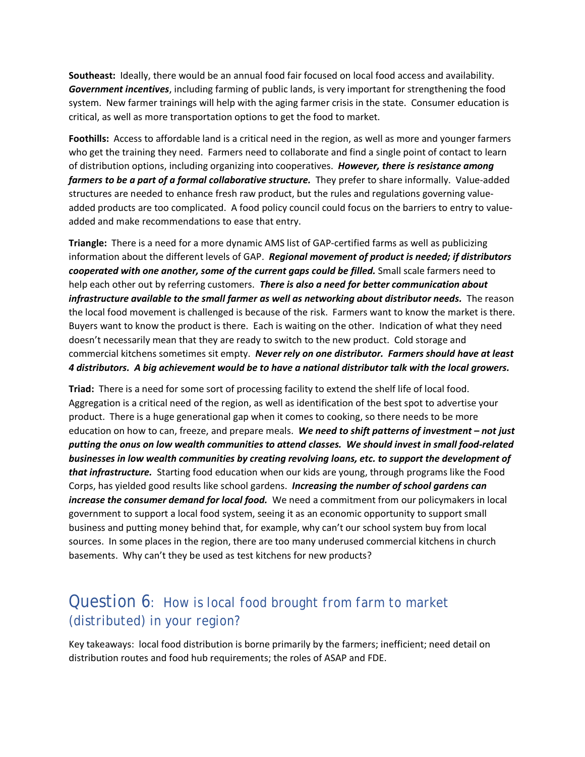**Southeast:** Ideally, there would be an annual food fair focused on local food access and availability. *Government incentives*, including farming of public lands, is very important for strengthening the food system. New farmer trainings will help with the aging farmer crisis in the state. Consumer education is critical, as well as more transportation options to get the food to market.

**Foothills:** Access to affordable land is a critical need in the region, as well as more and younger farmers who get the training they need. Farmers need to collaborate and find a single point of contact to learn of distribution options, including organizing into cooperatives. *However, there is resistance among farmers to be a part of a formal collaborative structure.* They prefer to share informally. Value-added structures are needed to enhance fresh raw product, but the rules and regulations governing valueadded products are too complicated. A food policy council could focus on the barriers to entry to valueadded and make recommendations to ease that entry.

**Triangle:** There is a need for a more dynamic AMS list of GAP-certified farms as well as publicizing information about the different levels of GAP. *Regional movement of product is needed; if distributors cooperated with one another, some of the current gaps could be filled.* Small scale farmers need to help each other out by referring customers. *There is also a need for better communication about infrastructure available to the small farmer as well as networking about distributor needs.* The reason the local food movement is challenged is because of the risk. Farmers want to know the market is there. Buyers want to know the product is there. Each is waiting on the other. Indication of what they need doesn't necessarily mean that they are ready to switch to the new product. Cold storage and commercial kitchens sometimes sit empty. *Never rely on one distributor. Farmers should have at least 4 distributors. A big achievement would be to have a national distributor talk with the local growers.*

**Triad:** There is a need for some sort of processing facility to extend the shelf life of local food. Aggregation is a critical need of the region, as well as identification of the best spot to advertise your product. There is a huge generational gap when it comes to cooking, so there needs to be more education on how to can, freeze, and prepare meals. *We need to shift patterns of investment – not just putting the onus on low wealth communities to attend classes. We should invest in small food-related businesses in low wealth communities by creating revolving loans, etc. to support the development of that infrastructure.* Starting food education when our kids are young, through programs like the Food Corps, has yielded good results like school gardens. *Increasing the number of school gardens can increase the consumer demand for local food.* We need a commitment from our policymakers in local government to support a local food system, seeing it as an economic opportunity to support small business and putting money behind that, for example, why can't our school system buy from local sources. In some places in the region, there are too many underused commercial kitchens in church basements. Why can't they be used as test kitchens for new products?

## Question 6: *How is local food brought from farm to market (distributed) in your region?*

Key takeaways: local food distribution is borne primarily by the farmers; inefficient; need detail on distribution routes and food hub requirements; the roles of ASAP and FDE.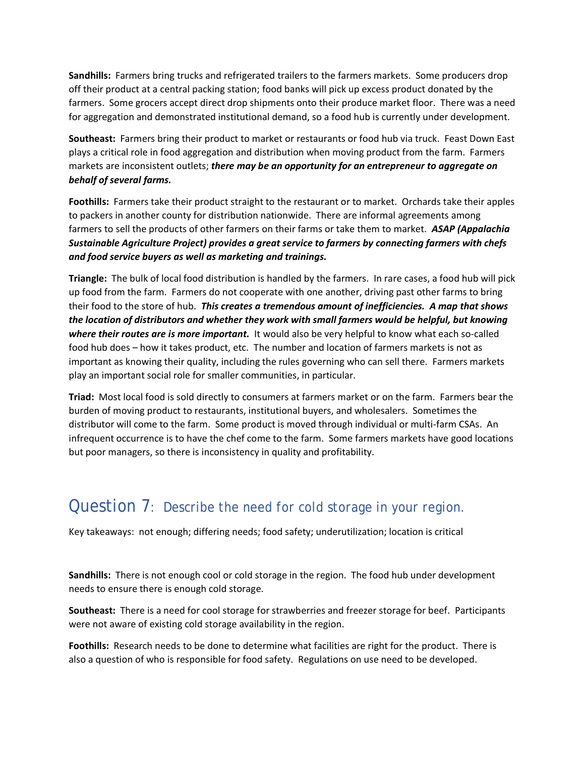**Sandhills:** Farmers bring trucks and refrigerated trailers to the farmers markets. Some producers drop off their product at a central packing station; food banks will pick up excess product donated by the farmers. Some grocers accept direct drop shipments onto their produce market floor. There was a need for aggregation and demonstrated institutional demand, so a food hub is currently under development.

**Southeast:** Farmers bring their product to market or restaurants or food hub via truck. Feast Down East plays a critical role in food aggregation and distribution when moving product from the farm. Farmers markets are inconsistent outlets; *there may be an opportunity for an entrepreneur to aggregate on behalf of several farms.*

**Foothills:** Farmers take their product straight to the restaurant or to market. Orchards take their apples to packers in another county for distribution nationwide. There are informal agreements among farmers to sell the products of other farmers on their farms or take them to market. *ASAP (Appalachia Sustainable Agriculture Project) provides a great service to farmers by connecting farmers with chefs and food service buyers as well as marketing and trainings.*

**Triangle:** The bulk of local food distribution is handled by the farmers. In rare cases, a food hub will pick up food from the farm. Farmers do not cooperate with one another, driving past other farms to bring their food to the store of hub. *This creates a tremendous amount of inefficiencies. A map that shows the location of distributors and whether they work with small farmers would be helpful, but knowing where their routes are is more important.* It would also be very helpful to know what each so-called food hub does – how it takes product, etc. The number and location of farmers markets is not as important as knowing their quality, including the rules governing who can sell there. Farmers markets play an important social role for smaller communities, in particular.

**Triad:** Most local food is sold directly to consumers at farmers market or on the farm. Farmers bear the burden of moving product to restaurants, institutional buyers, and wholesalers. Sometimes the distributor will come to the farm. Some product is moved through individual or multi-farm CSAs. An infrequent occurrence is to have the chef come to the farm. Some farmers markets have good locations but poor managers, so there is inconsistency in quality and profitability.

## Question 7: *Describe the need for cold storage in your region.*

Key takeaways: not enough; differing needs; food safety; underutilization; location is critical

**Sandhills:** There is not enough cool or cold storage in the region. The food hub under development needs to ensure there is enough cold storage.

**Southeast:** There is a need for cool storage for strawberries and freezer storage for beef. Participants were not aware of existing cold storage availability in the region.

**Foothills:** Research needs to be done to determine what facilities are right for the product. There is also a question of who is responsible for food safety. Regulations on use need to be developed.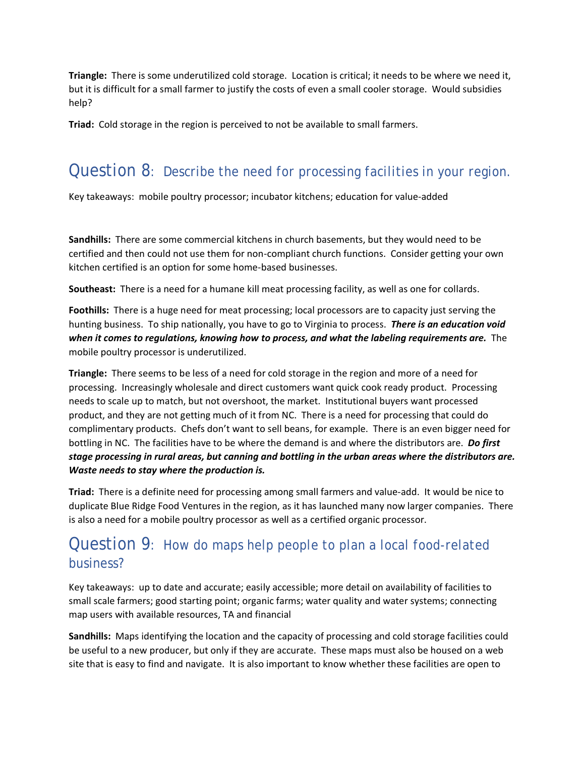**Triangle:** There is some underutilized cold storage. Location is critical; it needs to be where we need it, but it is difficult for a small farmer to justify the costs of even a small cooler storage. Would subsidies help?

**Triad:** Cold storage in the region is perceived to not be available to small farmers.

# Question 8: *Describe the need for processing facilities in your region.*

Key takeaways: mobile poultry processor; incubator kitchens; education for value-added

**Sandhills:** There are some commercial kitchens in church basements, but they would need to be certified and then could not use them for non-compliant church functions. Consider getting your own kitchen certified is an option for some home-based businesses.

**Southeast:** There is a need for a humane kill meat processing facility, as well as one for collards.

**Foothills:** There is a huge need for meat processing; local processors are to capacity just serving the hunting business. To ship nationally, you have to go to Virginia to process. *There is an education void when it comes to regulations, knowing how to process, and what the labeling requirements are.* The mobile poultry processor is underutilized.

**Triangle:** There seems to be less of a need for cold storage in the region and more of a need for processing. Increasingly wholesale and direct customers want quick cook ready product. Processing needs to scale up to match, but not overshoot, the market. Institutional buyers want processed product, and they are not getting much of it from NC. There is a need for processing that could do complimentary products. Chefs don't want to sell beans, for example. There is an even bigger need for bottling in NC. The facilities have to be where the demand is and where the distributors are. *Do first stage processing in rural areas, but canning and bottling in the urban areas where the distributors are. Waste needs to stay where the production is.*

**Triad:** There is a definite need for processing among small farmers and value-add. It would be nice to duplicate Blue Ridge Food Ventures in the region, as it has launched many now larger companies. There is also a need for a mobile poultry processor as well as a certified organic processor.

## Question 9: *How do maps help people to plan a local food-related business?*

Key takeaways: up to date and accurate; easily accessible; more detail on availability of facilities to small scale farmers; good starting point; organic farms; water quality and water systems; connecting map users with available resources, TA and financial

**Sandhills:** Maps identifying the location and the capacity of processing and cold storage facilities could be useful to a new producer, but only if they are accurate. These maps must also be housed on a web site that is easy to find and navigate. It is also important to know whether these facilities are open to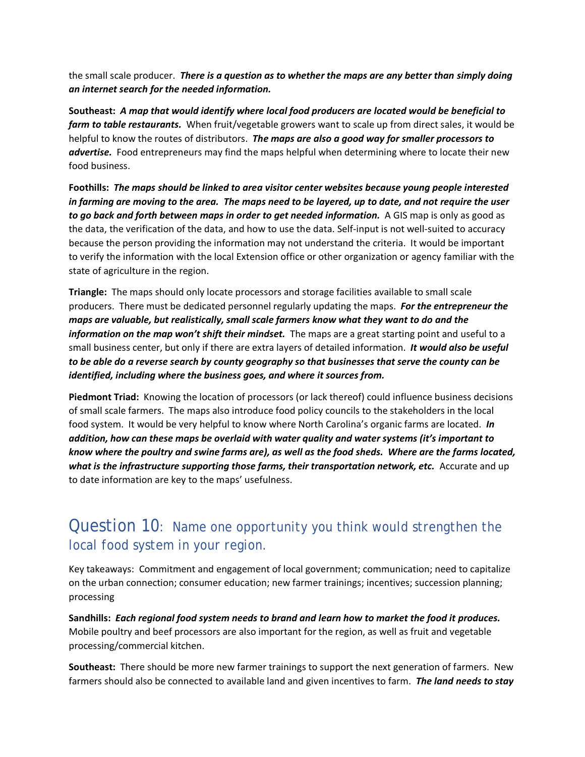the small scale producer. *There is a question as to whether the maps are any better than simply doing an internet search for the needed information.*

**Southeast:** *A map that would identify where local food producers are located would be beneficial to farm to table restaurants.* When fruit/vegetable growers want to scale up from direct sales, it would be helpful to know the routes of distributors. *The maps are also a good way for smaller processors to advertise.* Food entrepreneurs may find the maps helpful when determining where to locate their new food business.

**Foothills:** *The maps should be linked to area visitor center websites because young people interested in farming are moving to the area. The maps need to be layered, up to date, and not require the user*  to go back and forth between maps in order to get needed information. A GIS map is only as good as the data, the verification of the data, and how to use the data. Self-input is not well-suited to accuracy because the person providing the information may not understand the criteria. It would be important to verify the information with the local Extension office or other organization or agency familiar with the state of agriculture in the region.

**Triangle:** The maps should only locate processors and storage facilities available to small scale producers. There must be dedicated personnel regularly updating the maps. *For the entrepreneur the maps are valuable, but realistically, small scale farmers know what they want to do and the information on the map won't shift their mindset.* The maps are a great starting point and useful to a small business center, but only if there are extra layers of detailed information. *It would also be useful to be able do a reverse search by county geography so that businesses that serve the county can be identified, including where the business goes, and where it sources from.*

**Piedmont Triad:** Knowing the location of processors (or lack thereof) could influence business decisions of small scale farmers. The maps also introduce food policy councils to the stakeholders in the local food system. It would be very helpful to know where North Carolina's organic farms are located. *In addition, how can these maps be overlaid with water quality and water systems (it's important to know where the poultry and swine farms are), as well as the food sheds. Where are the farms located, what is the infrastructure supporting those farms, their transportation network, etc.* **Accurate and up** to date information are key to the maps' usefulness.

## Question 10: *Name one opportunity you think would strengthen the local food system in your region.*

Key takeaways: Commitment and engagement of local government; communication; need to capitalize on the urban connection; consumer education; new farmer trainings; incentives; succession planning; processing

**Sandhills:** *Each regional food system needs to brand and learn how to market the food it produces.* Mobile poultry and beef processors are also important for the region, as well as fruit and vegetable processing/commercial kitchen.

**Southeast:** There should be more new farmer trainings to support the next generation of farmers. New farmers should also be connected to available land and given incentives to farm. *The land needs to stay*